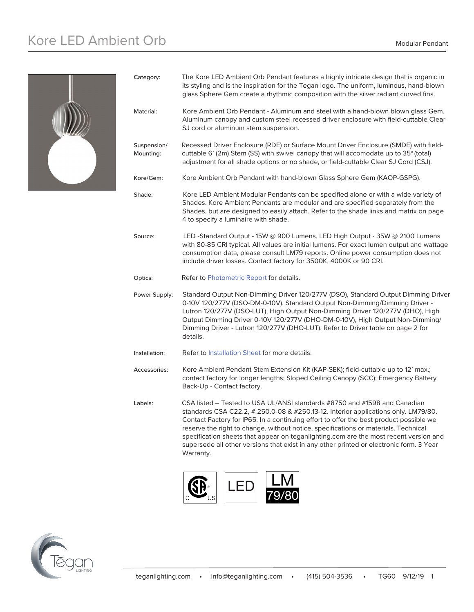# Kore LED Ambient Orb Modular Pendant



| Category:                | The Kore LED Ambient Orb Pendant features a highly intricate design that is organic in<br>its styling and is the inspiration for the Tegan logo. The uniform, luminous, hand-blown<br>glass Sphere Gem create a rhythmic composition with the silver radiant curved fins.                                                                                                                                                                                                                                                                         |  |
|--------------------------|---------------------------------------------------------------------------------------------------------------------------------------------------------------------------------------------------------------------------------------------------------------------------------------------------------------------------------------------------------------------------------------------------------------------------------------------------------------------------------------------------------------------------------------------------|--|
| Material:                | Kore Ambient Orb Pendant - Aluminum and steel with a hand-blown blown glass Gem.<br>Aluminum canopy and custom steel recessed driver enclosure with field-cuttable Clear<br>SJ cord or aluminum stem suspension.                                                                                                                                                                                                                                                                                                                                  |  |
| Suspension/<br>Mounting: | Recessed Driver Enclosure (RDE) or Surface Mount Driver Enclosure (SMDE) with field-<br>cuttable 6' (2m) Stem (SS) with swivel canopy that will accomodate up to 35° (total)<br>adjustment for all shade options or no shade, or field-cuttable Clear SJ Cord (CSJ).                                                                                                                                                                                                                                                                              |  |
| Kore/Gem:                | Kore Ambient Orb Pendant with hand-blown Glass Sphere Gem (KAOP-GSPG).                                                                                                                                                                                                                                                                                                                                                                                                                                                                            |  |
| Shade:                   | Kore LED Ambient Modular Pendants can be specified alone or with a wide variety of<br>Shades. Kore Ambient Pendants are modular and are specified separately from the<br>Shades, but are designed to easily attach. Refer to the shade links and matrix on page<br>4 to specify a luminaire with shade.                                                                                                                                                                                                                                           |  |
| Source:                  | LED -Standard Output - 15W @ 900 Lumens, LED High Output - 35W @ 2100 Lumens<br>with 80-85 CRI typical. All values are initial lumens. For exact lumen output and wattage<br>consumption data, please consult LM79 reports. Online power consumption does not<br>include driver losses. Contact factory for 3500K, 4000K or 90 CRI.                                                                                                                                                                                                               |  |
| Optics:                  | Refer to Photometric Report for details.                                                                                                                                                                                                                                                                                                                                                                                                                                                                                                          |  |
| Power Supply:            | Standard Output Non-Dimming Driver 120/277V (DSO), Standard Output Dimming Driver<br>0-10V 120/277V (DSO-DM-0-10V), Standard Output Non-Dimming/Dimming Driver -<br>Lutron 120/277V (DSO-LUT), High Output Non-Dimming Driver 120/277V (DHO), High<br>Output Dimming Driver 0-10V 120/277V (DHO-DM-0-10V), High Output Non-Dimming/<br>Dimming Driver - Lutron 120/277V (DHO-LUT). Refer to Driver table on page 2 for<br>details.                                                                                                                |  |
| Installation:            | Refer to Installation Sheet for more details.                                                                                                                                                                                                                                                                                                                                                                                                                                                                                                     |  |
| Accessories:             | Kore Ambient Pendant Stem Extension Kit (KAP-SEK); field-cuttable up to 12' max.;<br>contact factory for longer lengths; Sloped Ceiling Canopy (SCC); Emergency Battery<br>Back-Up - Contact factory.                                                                                                                                                                                                                                                                                                                                             |  |
| Labels:                  | CSA listed – Tested to USA UL/ANSI standards #8750 and #1598 and Canadian<br>standards CSA C22.2, # 250.0-08 & #250.13-12. Interior applications only. LM79/80.<br>Contact Factory for IP65. In a continuing effort to offer the best product possible we<br>reserve the right to change, without notice, specifications or materials. Technical<br>specification sheets that appear on teganlighting.com are the most recent version and<br>supersede all other versions that exist in any other printed or electronic form. 3 Year<br>Warranty. |  |
|                          | .                                                                                                                                                                                                                                                                                                                                                                                                                                                                                                                                                 |  |



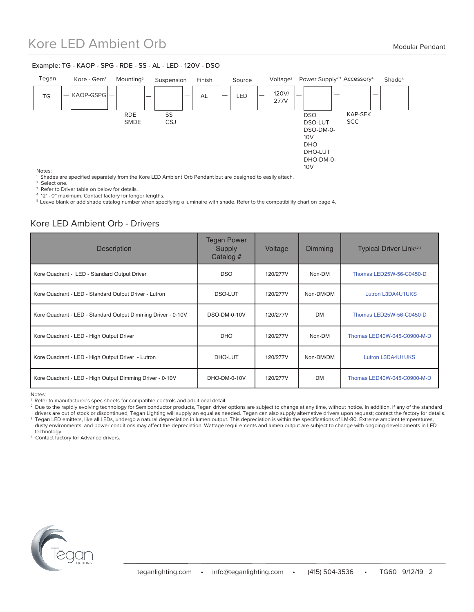### Kore LED Ambient Orb Modular Pendant

#### Example: TG - KAOP - SPG - RDE - SS - AL - LED - 120V - DSO



Notes:

<sup>1</sup> Shades are specified separately from the Kore LED Ambient Orb Pendant but are designed to easily attach.

<sup>2</sup> Select one.

<sup>3</sup> Refer to Driver table on below for details.

4 12' - 0" maximum. Contact factory for longer lengths.

5 Leave blank or add shade catalog number when specifying a luminaire with shade. Refer to the compatibility chart on page 4.

### Kore LED Ambient Orb - Drivers

| <b>Description</b>                                           | <b>Tegan Power</b><br><b>Supply</b><br>Catalog # | Voltage  | <b>Dimming</b> | <b>Typical Driver Link</b> <sup>1,2,3</sup> |
|--------------------------------------------------------------|--------------------------------------------------|----------|----------------|---------------------------------------------|
| Kore Quadrant - LED - Standard Output Driver                 | <b>DSO</b>                                       | 120/277V | Non-DM         | Thomas LED25W-56-C0450-D                    |
| Kore Quadrant - LED - Standard Output Driver - Lutron        | DSO-LUT                                          | 120/277V | Non-DM/DM      | Lutron L3DA4U1UKS                           |
| Kore Quadrant - LED - Standard Output Dimming Driver - 0-10V | <b>DSO-DM-0-10V</b>                              | 120/277V | <b>DM</b>      | Thomas LED25W-56-C0450-D                    |
| Kore Quadrant - LED - High Output Driver                     | <b>DHO</b>                                       | 120/277V | Non-DM         | Thomas LED40W-045-C0900-M-D                 |
| Kore Quadrant - LED - High Output Driver - Lutron            | DHO-LUT                                          | 120/277V | Non-DM/DM      | Lutron L3DA4U1UKS                           |
| Kore Quadrant - LED - High Output Dimming Driver - 0-10V     | DHO-DM-0-10V                                     | 120/277V | <b>DM</b>      | Thomas LED40W-045-C0900-M-D                 |

Notes:

<sup>2</sup> Due to the rapidly evolving technology for Semiconductor products, Tegan driver options are subject to change at any time, without notice. In addition, if any of the standard drivers are out of stock or discontinued, Tegan Lighting will supply an equal as needed. Tegan can also supply alternative drivers upon request; contact the factory for details. <sup>3</sup> Tegan LED emitters, like all LEDs, undergo a natural depreciation in lumen output. This depreciation is within the specifications of LM-80. Extreme ambient temperatures, dusty environments, and power conditions may affect the depreciation. Wattage requirements and lumen output are subject to change with ongoing developments in LED technology.

4 Contact factory for Advance drivers.



<sup>1</sup> Refer to manufacturer's spec sheets for compatible controls and additional detail.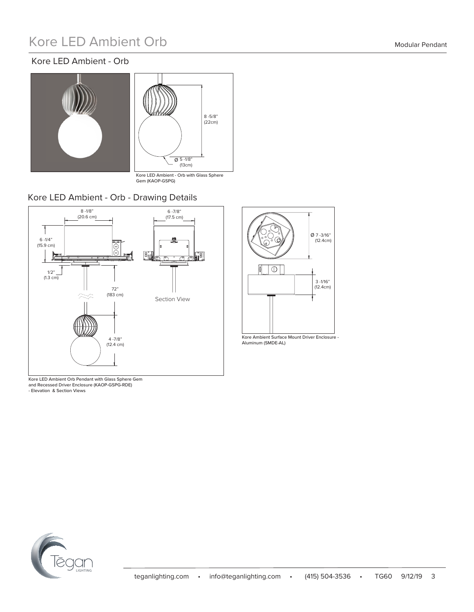# Kore LED Ambient Orb Modular Pendant

### Kore LED Ambient - Orb





Kore LED Ambient - Orb with Glass Sphere Gem (KAOP-GSPG)

### Kore LED Ambient - Orb - Drawing Details



Kore LED Ambient Orb Pendant with Glass Sphere Gem and Recessed Driver Enclosure (KAOP-GSPG-RDE) - Elevation & Section Views



Kore Ambient Surface Mount Driver Enclosure - Aluminum (SMDE-AL)